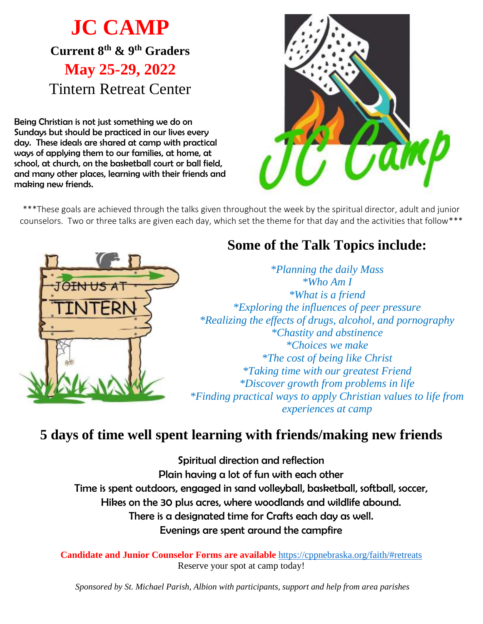## **JC CAMP Current 8th & 9th Graders May 25-29, 2022** Tintern Retreat Center

Being Christian is not just something we do on Sundays but should be practiced in our lives every day. These ideals are shared at camp with practical ways of applying them to our families, at home, at school, at church, on the basketball court or ball field, and many other places, learning with their friends and making new friends.



\*\*\*These goals are achieved through the talks given throughout the week by the spiritual director, adult and junior counselors. Two or three talks are given each day, which set the theme for that day and the activities that follow\*\*\*



## **Some of the Talk Topics include:**

*\*Planning the daily Mass \*Who Am I \*What is a friend \*Exploring the influences of peer pressure \*Realizing the effects of drugs, alcohol, and pornography \*Chastity and abstinence \*Choices we make \*The cost of being like Christ \*Taking time with our greatest Friend \*Discover growth from problems in life \*Finding practical ways to apply Christian values to life from experiences at camp*

## **5 days of time well spent learning with friends/making new friends**

Spiritual direction and reflection Plain having a lot of fun with each other Time is spent outdoors, engaged in sand volleyball, basketball, softball, soccer, Hikes on the 30 plus acres, where woodlands and wildlife abound. There is a designated time for Crafts each day as well. Evenings are spent around the campfire

**Candidate and Junior Counselor Forms are available** <https://cppnebraska.org/faith/#retreats> Reserve your spot at camp today!

*Sponsored by St. Michael Parish, Albion with participants, support and help from area parishes*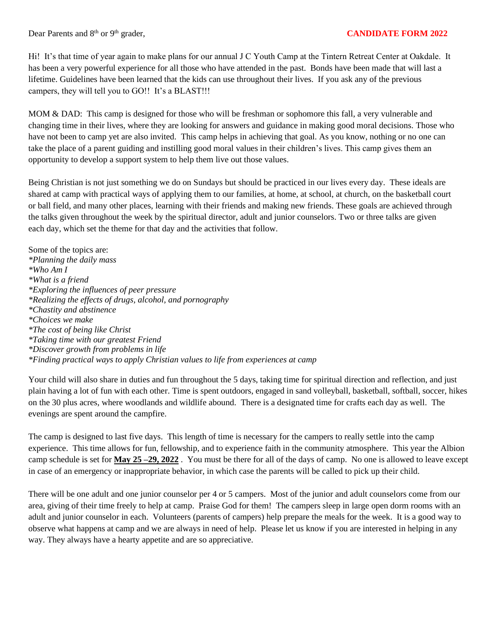Dear Parents and 8<sup>th</sup> or 9<sup>th</sup> grader,

## **CANDIDATE FORM 2022**

Hi! It's that time of year again to make plans for our annual J C Youth Camp at the Tintern Retreat Center at Oakdale. It has been a very powerful experience for all those who have attended in the past. Bonds have been made that will last a lifetime. Guidelines have been learned that the kids can use throughout their lives. If you ask any of the previous campers, they will tell you to GO!! It's a BLAST!!!

MOM & DAD: This camp is designed for those who will be freshman or sophomore this fall, a very vulnerable and changing time in their lives, where they are looking for answers and guidance in making good moral decisions. Those who have not been to camp yet are also invited. This camp helps in achieving that goal. As you know, nothing or no one can take the place of a parent guiding and instilling good moral values in their children's lives. This camp gives them an opportunity to develop a support system to help them live out those values.

Being Christian is not just something we do on Sundays but should be practiced in our lives every day. These ideals are shared at camp with practical ways of applying them to our families, at home, at school, at church, on the basketball court or ball field, and many other places, learning with their friends and making new friends. These goals are achieved through the talks given throughout the week by the spiritual director, adult and junior counselors. Two or three talks are given each day, which set the theme for that day and the activities that follow.

Some of the topics are: *\*Planning the daily mass \*Who Am I \*What is a friend \*Exploring the influences of peer pressure \*Realizing the effects of drugs, alcohol, and pornography \*Chastity and abstinence \*Choices we make \*The cost of being like Christ \*Taking time with our greatest Friend \*Discover growth from problems in life \*Finding practical ways to apply Christian values to life from experiences at camp*

Your child will also share in duties and fun throughout the 5 days, taking time for spiritual direction and reflection, and just plain having a lot of fun with each other. Time is spent outdoors, engaged in sand volleyball, basketball, softball, soccer, hikes on the 30 plus acres, where woodlands and wildlife abound. There is a designated time for crafts each day as well. The evenings are spent around the campfire.

The camp is designed to last five days. This length of time is necessary for the campers to really settle into the camp experience. This time allows for fun, fellowship, and to experience faith in the community atmosphere. This year the Albion camp schedule is set for **May 25 –29, 2022** . You must be there for all of the days of camp. No one is allowed to leave except in case of an emergency or inappropriate behavior, in which case the parents will be called to pick up their child.

There will be one adult and one junior counselor per 4 or 5 campers. Most of the junior and adult counselors come from our area, giving of their time freely to help at camp. Praise God for them! The campers sleep in large open dorm rooms with an adult and junior counselor in each. Volunteers (parents of campers) help prepare the meals for the week. It is a good way to observe what happens at camp and we are always in need of help. Please let us know if you are interested in helping in any way. They always have a hearty appetite and are so appreciative.